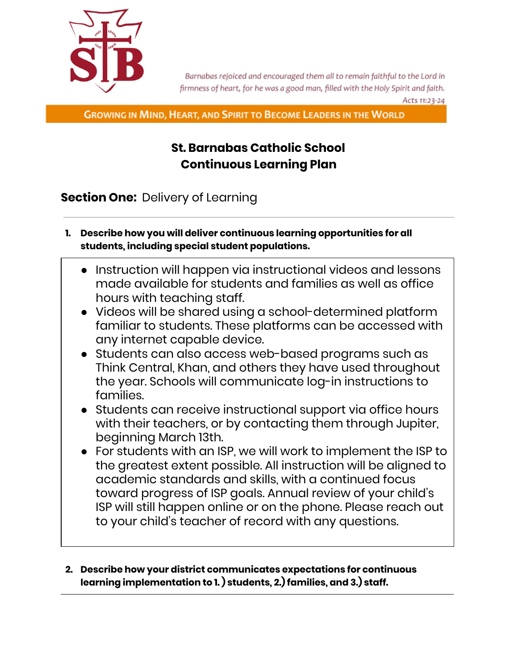

Barnabas rejoiced and encouraged them all to remain faithful to the Lord in firmness of heart, for he was a good man, filled with the Holy Spirit and faith. Acts 11:23-24

**GROWING IN MIND, HEART, AND SPIRIT TO BECOME LEADERS IN THE WORLD** 

# **St. Barnabas Catholic School Continuous Learning Plan**

**Section One:** Delivery of Learning

- **1. Describe how you will deliver continuous learning opportunities for all students, including special student populations.**
	- Instruction will happen via instructional videos and lessons made available for students and families as well as office hours with teaching staff.
	- Videos will be shared using a school-determined platform familiar to students. These platforms can be accessed with any internet capable device.
	- Students can also access web-based programs such as Think Central, Khan, and others they have used throughout the year. Schools will communicate log-in instructions to families.
	- Students can receive instructional support via office hours with their teachers, or by contacting them through Jupiter, beginning March 13th.
	- For students with an ISP, we will work to implement the ISP to the greatest extent possible. All instruction will be aligned to academic standards and skills, with a continued focus toward progress of ISP goals. Annual review of your child's ISP will still happen online or on the phone. Please reach out to your child's teacher of record with any questions.
- **2. Describe how your district communicates expectations for continuous learning implementation to 1. ) students, 2.) families, and 3.) staff.**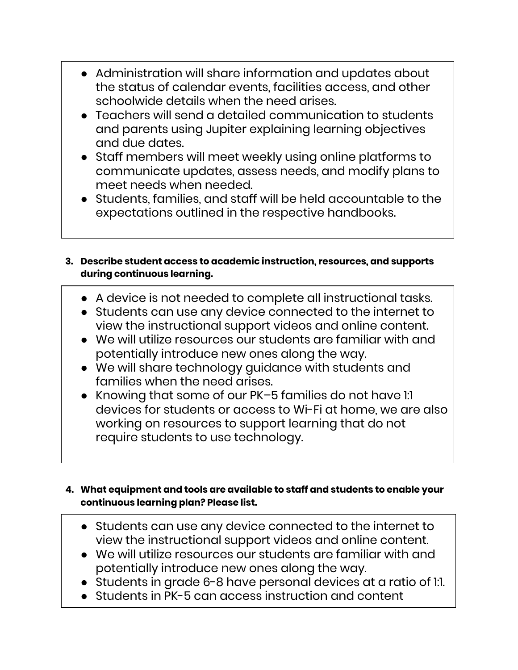- Administration will share information and updates about the status of calendar events, facilities access, and other schoolwide details when the need arises.
- $\bullet$  Teachers will send a detailed communication to students and parents using Jupiter explaining learning objectives and due dates.
- Staff members will meet weekly using online platforms to communicate updates, assess needs, and modify plans to meet needs when needed.
- Students, families, and staff will be held accountable to the expectations outlined in the respective handbooks.

### **3. Describe student access to academic instruction, resources, and supports during continuous learning.**

- A device is not needed to complete all instructional tasks.
- Students can use any device connected to the internet to view the instructional support videos and online content.
- We will utilize resources our students are familiar with and potentially introduce new ones along the way.
- We will share technology guidance with students and families when the need arises.
- Knowing that some of our PK–5 families do not have 1:1 devices for students or access to Wi-Fi at home, we are also working on resources to support learning that do not require students to use technology.

### **4. What equipment and tools are available to staff and students to enable your continuous learning plan? Please list.**

- Students can use any device connected to the internet to view the instructional support videos and online content.
- We will utilize resources our students are familiar with and potentially introduce new ones along the way.
- Students in grade 6-8 have personal devices at a ratio of 1:1.
- Students in PK-5 can access instruction and content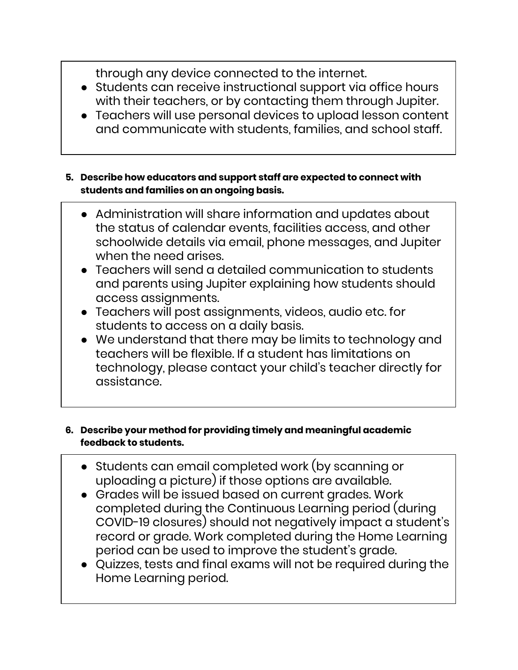through any device connected to the internet.

- Students can receive instructional support via office hours with their teachers, or by contacting them through Jupiter.
- Teachers will use personal devices to upload lesson content and communicate with students, families, and school staff.

#### **5. Describe how educators and support staff are expected to connect with students and families on an ongoing basis.**

- Administration will share information and updates about the status of calendar events, facilities access, and other schoolwide details via email, phone messages, and Jupiter when the need arises.
- Teachers will send a detailed communication to students and parents using Jupiter explaining how students should access assignments.
- Teachers will post assignments, videos, audio etc. for students to access on a daily basis.
- We understand that there may be limits to technology and teachers will be flexible. If a student has limitations on technology, please contact your child's teacher directly for assistance.

### **6. Describe your method for providing timely and meaningful academic feedback to students.**

- Students can email completed work (by scanning or uploading a picture) if those options are available.
- Grades will be issued based on current grades. Work completed during the Continuous Learning period (during COVID-19 closures) should not negatively impact a student's record or grade. Work completed during the Home Learning period can be used to improve the student's grade.
- Quizzes, tests and final exams will not be required during the Home Learning period.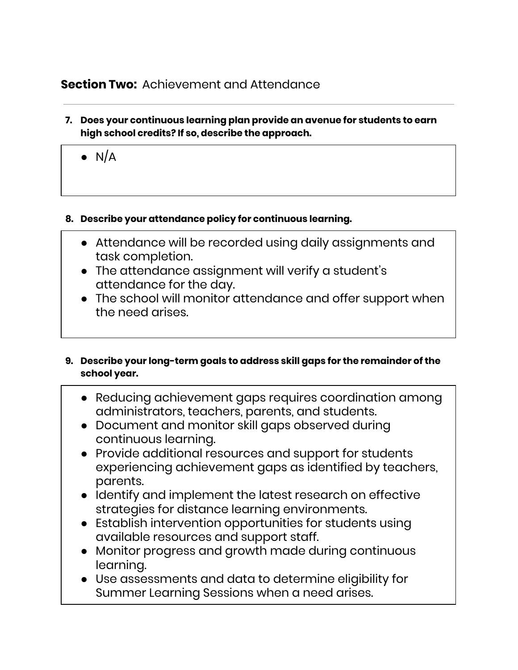## **Section Two:** Achievement and Attendance

- **7. Does your continuous learning plan provide an avenue for students to earn high school credits? If so, describe the approach.**
	- $\bullet$  N/A

### **8. Describe your attendance policy for continuous learning.**

- Attendance will be recorded using daily assignments and task completion.
- The attendance assignment will verify a student's attendance for the day.
- The school will monitor attendance and offer support when the need arises.

### **9. Describe your long-term goals to address skill gaps for the remainder of the school year.**

- Reducing achievement gaps requires coordination among administrators, teachers, parents, and students.
- Document and monitor skill gaps observed during continuous learning.
- Provide additional resources and support for students experiencing achievement gaps as identified by teachers, parents.
- Identify and implement the latest research on effective strategies for distance learning environments.
- Establish intervention opportunities for students using available resources and support staff.
- Monitor progress and growth made during continuous learning.
- Use assessments and data to determine eligibility for Summer Learning Sessions when a need arises.